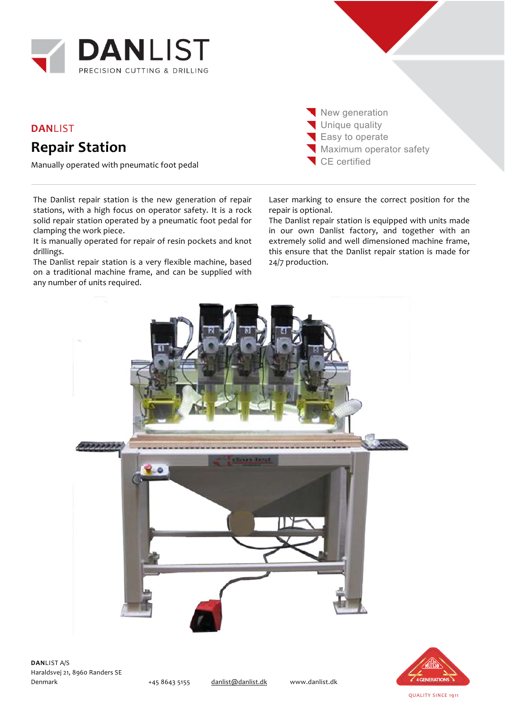

## **DAN**LIST **Repair Station**

Manually operated with pneumatic foot pedal

The Danlist repair station is the new generation of repair stations, with a high focus on operator safety. It is a rock solid repair station operated by a pneumatic foot pedal for clamping the work piece.

It is manually operated for repair of resin pockets and knot drillings.

The Danlist repair station is a very flexible machine, based on a traditional machine frame, and can be supplied with any number of units required.

New generation Unique quality Easy to operate **Maximum operator safety** CE certified

Laser marking to ensure the correct position for the repair is optional.

The Danlist repair station is equipped with units made in our own Danlist factory, and together with an extremely solid and well dimensioned machine frame, this ensure that the Danlist repair station is made for 24/7 production.